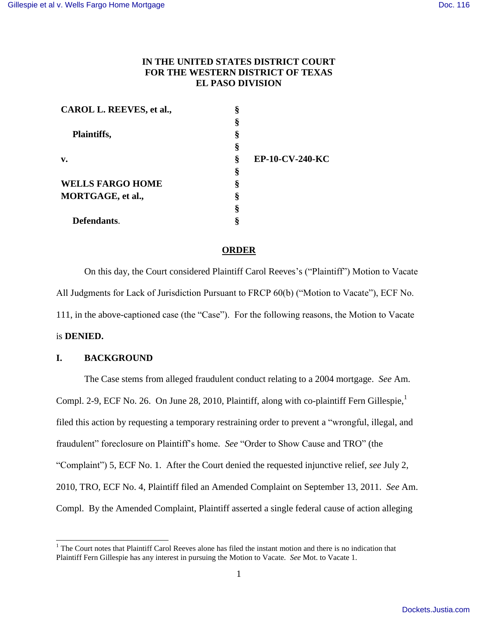# **IN THE UNITED STATES DISTRICT COURT FOR THE WESTERN DISTRICT OF TEXAS EL PASO DIVISION**

| CAROL L. REEVES, et al., | ş |                 |
|--------------------------|---|-----------------|
|                          | § |                 |
| Plaintiffs,              | § |                 |
|                          | § |                 |
| $\mathbf{v}$ .           | Ş | EP-10-CV-240-KC |
|                          | ş |                 |
| <b>WELLS FARGO HOME</b>  | ş |                 |
| MORTGAGE, et al.,        | ş |                 |
|                          | ş |                 |
| Defendants.              | 8 |                 |

## **ORDER**

On this day, the Court considered Plaintiff Carol Reeves's ("Plaintiff") Motion to Vacate All Judgments for Lack of Jurisdiction Pursuant to FRCP 60(b) ("Motion to Vacate"), ECF No. 111, in the above-captioned case (the "Case"). For the following reasons, the Motion to Vacate is **DENIED.**

## **I. BACKGROUND**

 $\overline{a}$ 

The Case stems from alleged fraudulent conduct relating to a 2004 mortgage. *See* Am. Compl. 2-9, ECF No. 26. On June 28, 2010, Plaintiff, along with co-plaintiff Fern Gillespie, $<sup>1</sup>$ </sup> filed this action by requesting a temporary restraining order to prevent a "wrongful, illegal, and fraudulent" foreclosure on Plaintiff's home. *See* "Order to Show Cause and TRO" (the "Complaint") 5, ECF No. 1. After the Court denied the requested injunctive relief, *see* July 2, 2010, TRO, ECF No. 4, Plaintiff filed an Amended Complaint on September 13, 2011. *See* Am. Compl. By the Amended Complaint, Plaintiff asserted a single federal cause of action alleging

 $1$  The Court notes that Plaintiff Carol Reeves alone has filed the instant motion and there is no indication that Plaintiff Fern Gillespie has any interest in pursuing the Motion to Vacate. *See* Mot. to Vacate 1.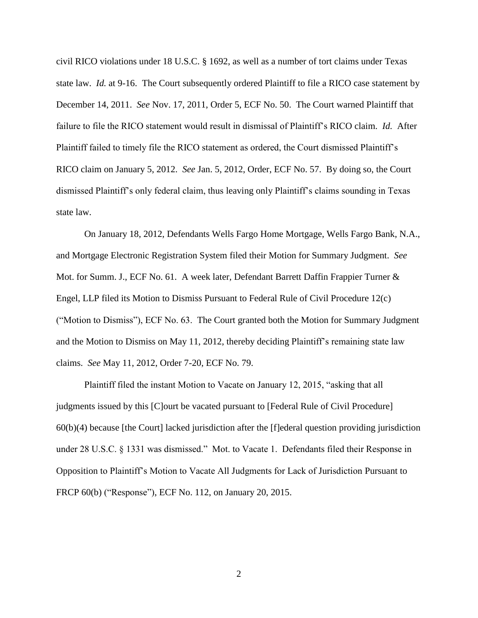civil RICO violations under 18 U.S.C. § 1692, as well as a number of tort claims under Texas state law. *Id.* at 9-16. The Court subsequently ordered Plaintiff to file a RICO case statement by December 14, 2011. *See* Nov. 17, 2011, Order 5, ECF No. 50. The Court warned Plaintiff that failure to file the RICO statement would result in dismissal of Plaintiff's RICO claim. *Id.* After Plaintiff failed to timely file the RICO statement as ordered, the Court dismissed Plaintiff's RICO claim on January 5, 2012. *See* Jan. 5, 2012, Order, ECF No. 57. By doing so, the Court dismissed Plaintiff's only federal claim, thus leaving only Plaintiff's claims sounding in Texas state law.

On January 18, 2012, Defendants Wells Fargo Home Mortgage, Wells Fargo Bank, N.A., and Mortgage Electronic Registration System filed their Motion for Summary Judgment. *See*  Mot. for Summ. J., ECF No. 61. A week later, Defendant Barrett Daffin Frappier Turner & Engel, LLP filed its Motion to Dismiss Pursuant to Federal Rule of Civil Procedure 12(c) ("Motion to Dismiss"), ECF No. 63. The Court granted both the Motion for Summary Judgment and the Motion to Dismiss on May 11, 2012, thereby deciding Plaintiff's remaining state law claims. *See* May 11, 2012, Order 7-20, ECF No. 79.

Plaintiff filed the instant Motion to Vacate on January 12, 2015, "asking that all judgments issued by this [C]ourt be vacated pursuant to [Federal Rule of Civil Procedure] 60(b)(4) because [the Court] lacked jurisdiction after the [f]ederal question providing jurisdiction under 28 U.S.C. § 1331 was dismissed." Mot. to Vacate 1. Defendants filed their Response in Opposition to Plaintiff's Motion to Vacate All Judgments for Lack of Jurisdiction Pursuant to FRCP 60(b) ("Response"), ECF No. 112, on January 20, 2015.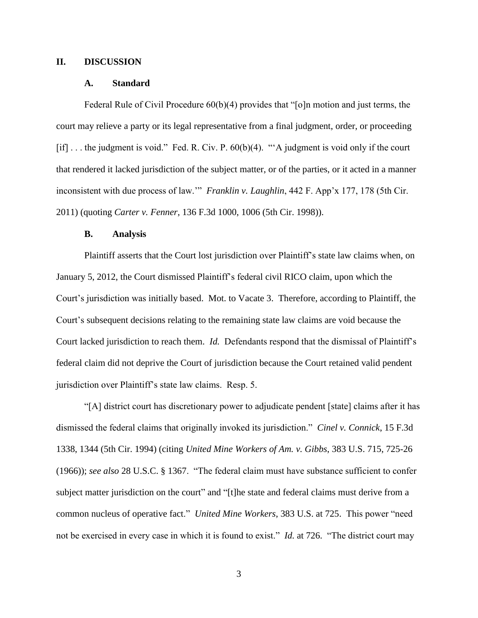### **II. DISCUSSION**

#### **A. Standard**

Federal Rule of Civil Procedure 60(b)(4) provides that "[o]n motion and just terms, the court may relieve a party or its legal representative from a final judgment, order, or proceeding [if] ... the judgment is void." Fed. R. Civ. P. 60(b)(4). "'A judgment is void only if the court that rendered it lacked jurisdiction of the subject matter, or of the parties, or it acted in a manner inconsistent with due process of law.'" *Franklin v. Laughlin*, 442 F. App'x 177, 178 (5th Cir. 2011) (quoting *Carter v. Fenner*, 136 F.3d 1000, 1006 (5th Cir. 1998)).

#### **B. Analysis**

Plaintiff asserts that the Court lost jurisdiction over Plaintiff's state law claims when, on January 5, 2012, the Court dismissed Plaintiff's federal civil RICO claim, upon which the Court's jurisdiction was initially based. Mot. to Vacate 3. Therefore, according to Plaintiff, the Court's subsequent decisions relating to the remaining state law claims are void because the Court lacked jurisdiction to reach them. *Id.* Defendants respond that the dismissal of Plaintiff's federal claim did not deprive the Court of jurisdiction because the Court retained valid pendent jurisdiction over Plaintiff's state law claims. Resp. 5.

"[A] district court has discretionary power to adjudicate pendent [state] claims after it has dismissed the federal claims that originally invoked its jurisdiction." *Cinel v. Connick*, 15 F.3d 1338, 1344 (5th Cir. 1994) (citing *United Mine Workers of Am. v. Gibbs*, 383 U.S. 715, 725-26 (1966)); *see also* 28 U.S.C. § 1367. "The federal claim must have substance sufficient to confer subject matter jurisdiction on the court" and "[t]he state and federal claims must derive from a common nucleus of operative fact." *United Mine Workers*, 383 U.S. at 725. This power "need not be exercised in every case in which it is found to exist." *Id.* at 726. "The district court may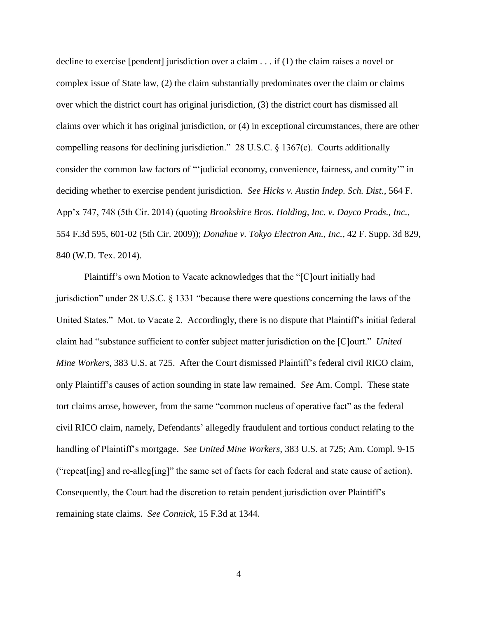decline to exercise [pendent] jurisdiction over a claim . . . if (1) the claim raises a novel or complex issue of State law, (2) the claim substantially predominates over the claim or claims over which the district court has original jurisdiction, (3) the district court has dismissed all claims over which it has original jurisdiction, or (4) in exceptional circumstances, there are other compelling reasons for declining jurisdiction." 28 U.S.C. § 1367(c). Courts additionally consider the common law factors of "'judicial economy, convenience, fairness, and comity'" in deciding whether to exercise pendent jurisdiction. *See Hicks v. Austin Indep. Sch. Dist.*, 564 F. App'x 747, 748 (5th Cir. 2014) (quoting *Brookshire Bros. Holding, Inc. v. Dayco Prods., Inc.*, 554 F.3d 595, 601-02 (5th Cir. 2009)); *Donahue v. Tokyo Electron Am., Inc.*, 42 F. Supp. 3d 829, 840 (W.D. Tex. 2014).

Plaintiff's own Motion to Vacate acknowledges that the "[C]ourt initially had jurisdiction" under 28 U.S.C. § 1331 "because there were questions concerning the laws of the United States." Mot. to Vacate 2. Accordingly, there is no dispute that Plaintiff's initial federal claim had "substance sufficient to confer subject matter jurisdiction on the [C]ourt." *United Mine Workers*, 383 U.S. at 725. After the Court dismissed Plaintiff's federal civil RICO claim, only Plaintiff's causes of action sounding in state law remained. *See* Am. Compl. These state tort claims arose, however, from the same "common nucleus of operative fact" as the federal civil RICO claim, namely, Defendants' allegedly fraudulent and tortious conduct relating to the handling of Plaintiff's mortgage. *See United Mine Workers*, 383 U.S. at 725; Am. Compl. 9-15 ("repeat[ing] and re-alleg[ing]" the same set of facts for each federal and state cause of action). Consequently, the Court had the discretion to retain pendent jurisdiction over Plaintiff's remaining state claims. *See Connick*, 15 F.3d at 1344.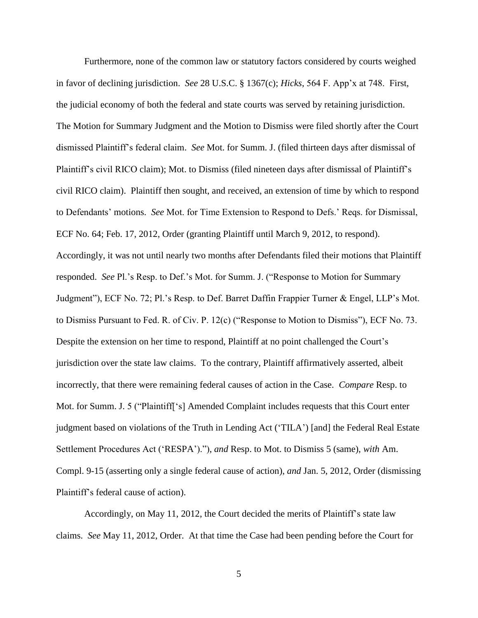Furthermore, none of the common law or statutory factors considered by courts weighed in favor of declining jurisdiction. *See* 28 U.S.C. § 1367(c); *Hicks*, 564 F. App'x at 748. First, the judicial economy of both the federal and state courts was served by retaining jurisdiction. The Motion for Summary Judgment and the Motion to Dismiss were filed shortly after the Court dismissed Plaintiff's federal claim. *See* Mot. for Summ. J. (filed thirteen days after dismissal of Plaintiff's civil RICO claim); Mot. to Dismiss (filed nineteen days after dismissal of Plaintiff's civil RICO claim). Plaintiff then sought, and received, an extension of time by which to respond to Defendants' motions. *See* Mot. for Time Extension to Respond to Defs.' Reqs. for Dismissal, ECF No. 64; Feb. 17, 2012, Order (granting Plaintiff until March 9, 2012, to respond). Accordingly, it was not until nearly two months after Defendants filed their motions that Plaintiff responded. *See* Pl.'s Resp. to Def.'s Mot. for Summ. J. ("Response to Motion for Summary Judgment"), ECF No. 72; Pl.'s Resp. to Def. Barret Daffin Frappier Turner & Engel, LLP's Mot. to Dismiss Pursuant to Fed. R. of Civ. P. 12(c) ("Response to Motion to Dismiss"), ECF No. 73. Despite the extension on her time to respond, Plaintiff at no point challenged the Court's jurisdiction over the state law claims. To the contrary, Plaintiff affirmatively asserted, albeit incorrectly, that there were remaining federal causes of action in the Case. *Compare* Resp. to Mot. for Summ. J. 5 ("Plaintiff['s] Amended Complaint includes requests that this Court enter judgment based on violations of the Truth in Lending Act ('TILA') [and] the Federal Real Estate Settlement Procedures Act ('RESPA')."), *and* Resp. to Mot. to Dismiss 5 (same), *with* Am. Compl. 9-15 (asserting only a single federal cause of action), *and* Jan. 5, 2012, Order (dismissing Plaintiff's federal cause of action).

Accordingly, on May 11, 2012, the Court decided the merits of Plaintiff's state law claims. *See* May 11, 2012, Order. At that time the Case had been pending before the Court for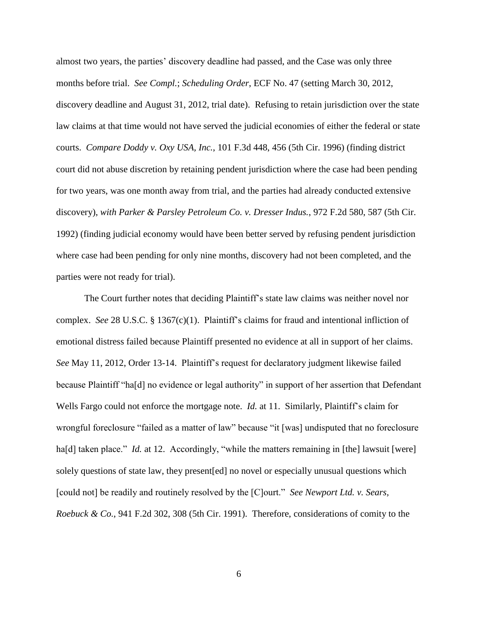almost two years, the parties' discovery deadline had passed, and the Case was only three months before trial. *See Compl.*; *Scheduling Order*, ECF No. 47 (setting March 30, 2012, discovery deadline and August 31, 2012, trial date). Refusing to retain jurisdiction over the state law claims at that time would not have served the judicial economies of either the federal or state courts. *Compare Doddy v. Oxy USA, Inc.*, 101 F.3d 448, 456 (5th Cir. 1996) (finding district court did not abuse discretion by retaining pendent jurisdiction where the case had been pending for two years, was one month away from trial, and the parties had already conducted extensive discovery), *with Parker & Parsley Petroleum Co. v. Dresser Indus.*, 972 F.2d 580, 587 (5th Cir. 1992) (finding judicial economy would have been better served by refusing pendent jurisdiction where case had been pending for only nine months, discovery had not been completed, and the parties were not ready for trial).

The Court further notes that deciding Plaintiff's state law claims was neither novel nor complex. *See* 28 U.S.C. § 1367(c)(1). Plaintiff's claims for fraud and intentional infliction of emotional distress failed because Plaintiff presented no evidence at all in support of her claims. *See* May 11, 2012, Order 13-14. Plaintiff's request for declaratory judgment likewise failed because Plaintiff "ha[d] no evidence or legal authority" in support of her assertion that Defendant Wells Fargo could not enforce the mortgage note. *Id.* at 11. Similarly, Plaintiff's claim for wrongful foreclosure "failed as a matter of law" because "it [was] undisputed that no foreclosure ha[d] taken place." *Id.* at 12. Accordingly, "while the matters remaining in [the] lawsuit [were] solely questions of state law, they present[ed] no novel or especially unusual questions which [could not] be readily and routinely resolved by the [C]ourt." *See Newport Ltd. v. Sears, Roebuck & Co.*, 941 F.2d 302, 308 (5th Cir. 1991). Therefore, considerations of comity to the